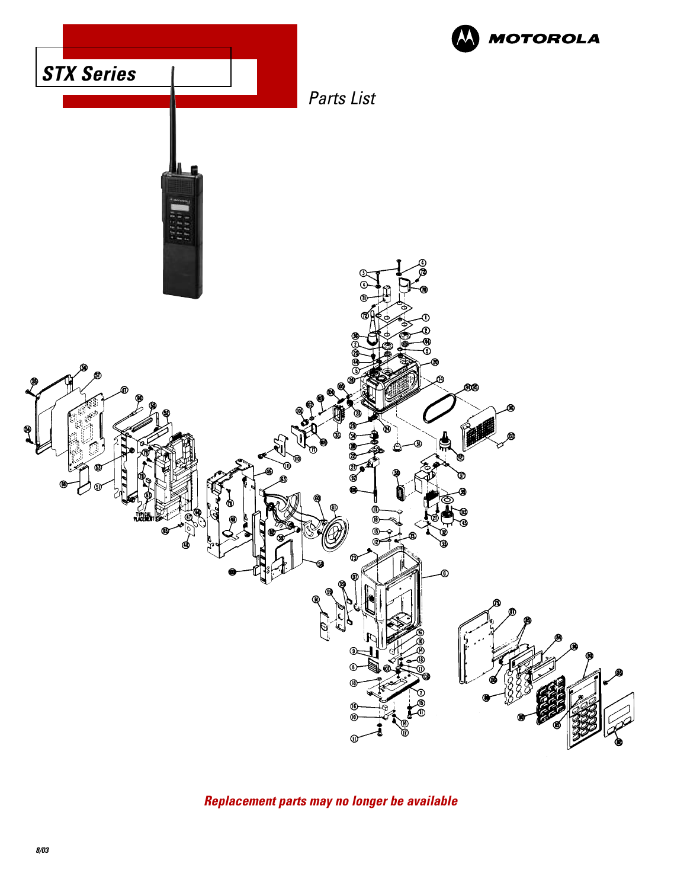

**Replacement parts may no longer be available**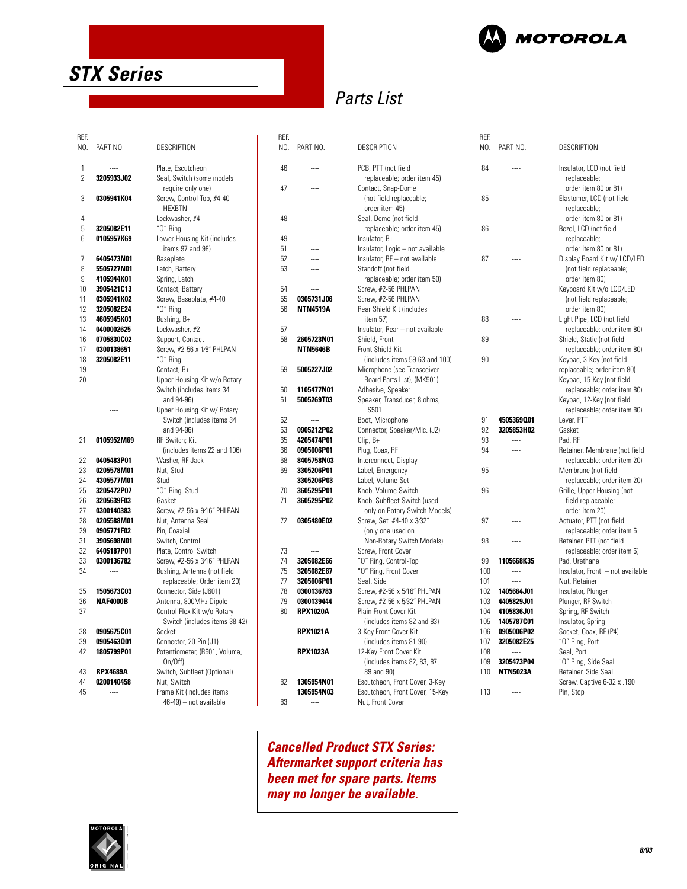

NO. PART NO. DESCRIPTION

84 ---- Insulator, LCD (not field

85 ---- Elastomer, LCD (not field

87 ---- Display Board Kit w/ LCD/LED

88 ---- Light Pipe, LCD (not field

89 ---- Shield, Static (not field

90 ---- Keypad, 3-Key (not field

94 ---- Retainer, Membrane (not field

95 ---- Membrane (not field

96 ---- Grille, Upper Housing (not

97 ---- Actuator, PTT (not field

98 ---- Retainer, PTT (not field

100 ---- Insulator, Front – not available

99 **1105668K35** Pad, Urethane

101 ---- Nut, Retainer **1405664J01** Insulator, Plunger<br>**4405829J01** Plunger, RF Switc 103 **4405829J01** Plunger, RF Switch

105 **1405787C01** Insulator, Spring 106 **0905006P02** Socket, Coax, RF (P4)

**3205473P04** "O" Ring, Side Seal<br>**NTN5023A** Retainer. Side Seal 110 **NTN5023A** Retainer, Side Seal

108 ----<br>109 **3205473P04** "O" Ring,

113 ---- Pin, Stop

91 **4505369Q01** Lever, PTT 3205853H02 93 ---- Pad, RF

86 ---- Bezel, LCD (not field

replaceable; order item 80 or 81)

replaceable; order item 80 or 81)

replaceable; order item 80 or 81)

(not field replaceable; order item 80) Keyboard Kit w/o LCD/LED (not field replaceable; order item 80)

replaceable; order item 80)

replaceable; order item 80)

replaceable; order item 20)

replaceable; order item 20)

replaceable; order item 6

replaceable; order item 6)

field replaceable; order item 20)

Spring, RF Switch

107 **3205082E25** "O" Ring, Port

Screw, Captive 6-32 x .190

replaceable; order item 80) Keypad, 15-Key (not field replaceable; order item 80) Keypad, 12-Key (not field replaceable; order item 80)

REF.

# **STX Series**

# Parts List

| REF.           |                 |                               | REF. |                 |                                  |
|----------------|-----------------|-------------------------------|------|-----------------|----------------------------------|
| NO.            | PART NO.        | <b>DESCRIPTION</b>            | NO.  | PART NO.        | DESCRIPTION                      |
|                |                 |                               |      |                 |                                  |
| $\mathbf{1}$   |                 | Plate, Escutcheon             | 46   |                 | PCB, PTT (not field              |
| $\overline{2}$ | 3205933J02      | Seal, Switch (some models     |      |                 | replaceable; order item 45)      |
|                |                 | require only one)             | 47   | $\cdots$        | Contact, Snap-Dome               |
| 3              | 0305941K04      | Screw, Control Top, #4-40     |      |                 | (not field replaceable;          |
|                |                 | <b>HEXBTN</b>                 |      |                 | order item 45)                   |
| 4              |                 | Lockwasher, #4                | 48   |                 | Seal, Dome (not field            |
| 5              | 3205082E11      | "0" Ring                      |      |                 | replaceable; order item 45)      |
| 6              | 0105957K69      | Lower Housing Kit (includes   | 49   | $\overline{a}$  |                                  |
|                |                 |                               |      |                 | Insulator, B+                    |
|                |                 | items 97 and 98)              | 51   | <br>            | Insulator, Logic - not available |
| $\overline{7}$ | 6405473N01      | Baseplate                     | 52   |                 | Insulator, RF - not available    |
| 8              | 5505727N01      | Latch, Battery                | 53   |                 | Standoff (not field              |
| 9              | 4105944K01      | Spring, Latch                 |      |                 | replaceable; order item 50)      |
| 10             | 3905421C13      | Contact, Battery              | 54   |                 | Screw, #2-56 PHLPAN              |
| 11             | 0305941K02      | Screw, Baseplate, #4-40       | 55   | 0305731J06      | Screw, #2-56 PHLPAN              |
| 12             | 3205082E24      | "0" Ring                      | 56   | <b>NTN4519A</b> | Rear Shield Kit (includes        |
| 13             | 4605945K03      | Bushing, B+                   |      |                 | item 57)                         |
| 14             | 0400002625      | Lockwasher, #2                | 57   |                 | Insulator, Rear - not available  |
| 16             | 0705830C02      | Support, Contact              | 58   | 2605723N01      | Shield, Front                    |
| 17             | 0300138651      | Screw, #2-56 x 1/8" PHLPAN    |      | <b>NTN5646B</b> | Front Shield Kit                 |
| 18             | 3205082E11      | "O" Ring                      |      |                 | (includes items 59-63 and 100)   |
| 19             | $\cdots$        | Contact, B+                   | 59   | 5005227J02      | Microphone (see Transceiver      |
| 20             |                 | Upper Housing Kit w/o Rotary  |      |                 | Board Parts List), (MK501)       |
|                |                 | Switch (includes items 34     | 60   | 1105477N01      | Adhesive, Speaker                |
|                |                 | and 94-96)                    | 61   | 5005269T03      | Speaker, Transducer, 8 ohms,     |
|                |                 | Upper Housing Kit w/ Rotary   |      |                 | LS501                            |
|                |                 | Switch (includes items 34     | 62   | $\cdots$        | Boot, Microphone                 |
|                |                 | and 94-96)                    | 63   | 0905212P02      | Connector, Speaker/Mic. (J2)     |
|                |                 |                               |      |                 |                                  |
| 21             | 0105952M69      | RF Switch; Kit                | 65   | 4205474P01      | Clip, B+                         |
|                |                 | (includes items 22 and 106)   | 66   | 0905006P01      | Plug, Coax, RF                   |
| 22             | 0405483P01      | Washer, RF Jack               | 68   | 8405758N03      | Interconnect, Display            |
| 23             | 0205578M01      | Nut, Stud                     | 69   | 3305206P01      | Label, Emergency                 |
| 24             | 4305577M01      | Stud                          |      | 3305206P03      | Label, Volume Set                |
| 25             | 3205472P07      | "O" Ring, Stud                | 70   | 3605295P01      | Knob, Volume Switch              |
| 26             | 3205639F03      | Gasket                        | 71   | 3605295P02      | Knob, Subfleet Switch (used      |
| 27             | 0300140383      | Screw, #2-56 x 9/16" PHLPAN   |      |                 | only on Rotary Switch Models)    |
| 28             | 0205588M01      | Nut. Antenna Seal             | 72   | 0305480E02      | Screw, Set. #4-40 x 3/32"        |
| 29             | 0905771F02      | Pin, Coaxial                  |      |                 | (only one used on                |
| 31             | 3905698N01      | Switch, Control               |      |                 | Non-Rotary Switch Models)        |
| 32             | 6405187P01      | Plate, Control Switch         | 73   | ----            | Screw, Front Cover               |
| 33             | 0300136782      | Screw, #2-56 x 3/16" PHLPAN   | 74   | 3205082E66      | "O" Ring, Control-Top            |
| 34             | $\cdots$        | Bushing, Antenna (not field   | 75   | 3205082E67      | "O" Ring, Front Cover            |
|                |                 | replaceable; Order item 20)   | 77   | 3205606P01      | Seal, Side                       |
| 35             | 1505673C03      | Connector, Side (J601)        | 78   | 0300136783      | Screw, #2-56 x 5/16" PHLPAN      |
| 36             | <b>NAF4000B</b> | Antenna, 800MHz Dipole        | 79   | 0300139444      | Screw, #2-56 x 5/32" PHLPAN      |
| 37             | $\cdots$        | Control-Flex Kit w/o Rotary   | 80   | <b>RPX1020A</b> | Plain Front Cover Kit            |
|                |                 |                               |      |                 |                                  |
|                |                 | Switch (includes items 38-42) |      |                 | (includes items 82 and 83)       |
| 38             | 0905675C01      | Socket                        |      | <b>RPX1021A</b> | 3-Key Front Cover Kit            |
| 39             | 0905463001      | Connector, 20-Pin (J1)        |      |                 | (includes items 81-90)           |
| 42             | 1805799P01      | Potentiometer, (R601, Volume, |      | <b>RPX1023A</b> | 12-Key Front Cover Kit           |
|                |                 | On/Off)                       |      |                 | (includes items 82, 83, 87,      |
| 43             | <b>RPX4689A</b> | Switch, Subfleet (Optional)   |      |                 | 89 and 90)                       |
| 44             | 0200140458      | Nut, Switch                   | 82   | 1305954N01      | Escutcheon, Front Cover, 3-Key   |
| 45             | $\cdots$        | Frame Kit (includes items     |      | 1305954N03      | Escutcheon, Front Cover, 15-Key  |
|                |                 | 46-49) - not available        | 83   |                 | Nut. Front Cover                 |

**Cancelled Product STX Series: Aftermarket support criteria has been met for spare parts. Items may no longer be available.**

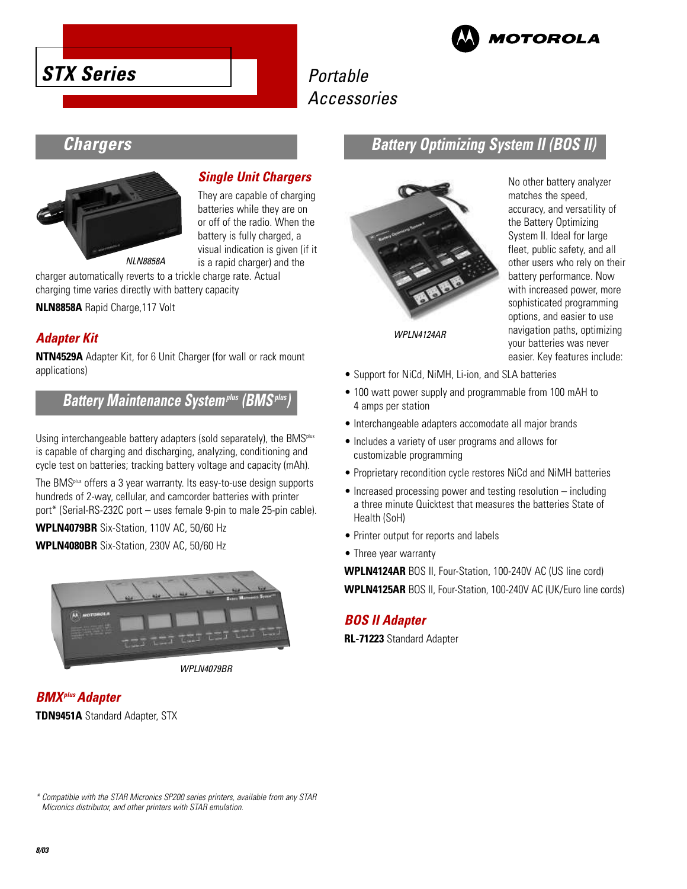





# Accessories

# **Chargers**



### **Single Unit Chargers**

They are capable of charging batteries while they are on or off of the radio. When the battery is fully charged, a visual indication is given (if it is a rapid charger) and the

charger automatically reverts to a trickle charge rate. Actual charging time varies directly with battery capacity

**NLN8858A** Rapid Charge,117 Volt

### **Adapter Kit**

**NTN4529A** Adapter Kit, for 6 Unit Charger (for wall or rack mount applications)

### **Battery Maintenance Systemplus (BMSplus)**

Using interchangeable battery adapters (sold separately), the BMS<sup>plus</sup> is capable of charging and discharging, analyzing, conditioning and cycle test on batteries; tracking battery voltage and capacity (mAh).

The BMSplus offers a 3 year warranty. Its easy-to-use design supports hundreds of 2-way, cellular, and camcorder batteries with printer port\* (Serial-RS-232C port – uses female 9-pin to male 25-pin cable).

**WPLN4079BR** Six-Station, 110V AC, 50/60 Hz

**WPLN4080BR** Six-Station, 230V AC, 50/60 Hz



WPLN4079BR



### **Battery Optimizing System II (BOS II)**



WPLN4124AR

No other battery analyzer matches the speed, accuracy, and versatility of the Battery Optimizing System II. Ideal for large fleet, public safety, and all other users who rely on their battery performance. Now with increased power, more sophisticated programming options, and easier to use navigation paths, optimizing your batteries was never easier. Key features include:

- Support for NiCd, NiMH, Li-ion, and SLA batteries
- 100 watt power supply and programmable from 100 mAH to 4 amps per station
- Interchangeable adapters accomodate all major brands
- Includes a variety of user programs and allows for customizable programming
- Proprietary recondition cycle restores NiCd and NiMH batteries
- Increased processing power and testing resolution including a three minute Quicktest that measures the batteries State of Health (SoH)
- Printer output for reports and labels
- Three year warranty

**WPLN4124AR** BOS II, Four-Station, 100-240V AC (US line cord) **WPLN4125AR** BOS II, Four-Station, 100-240V AC (UK/Euro line cords)

#### **BOS II Adapter**

**RL-71223** Standard Adapter

\* Compatible with the STAR Micronics SP200 series printers, available from any STAR Micronics distributor, and other printers with STAR emulation.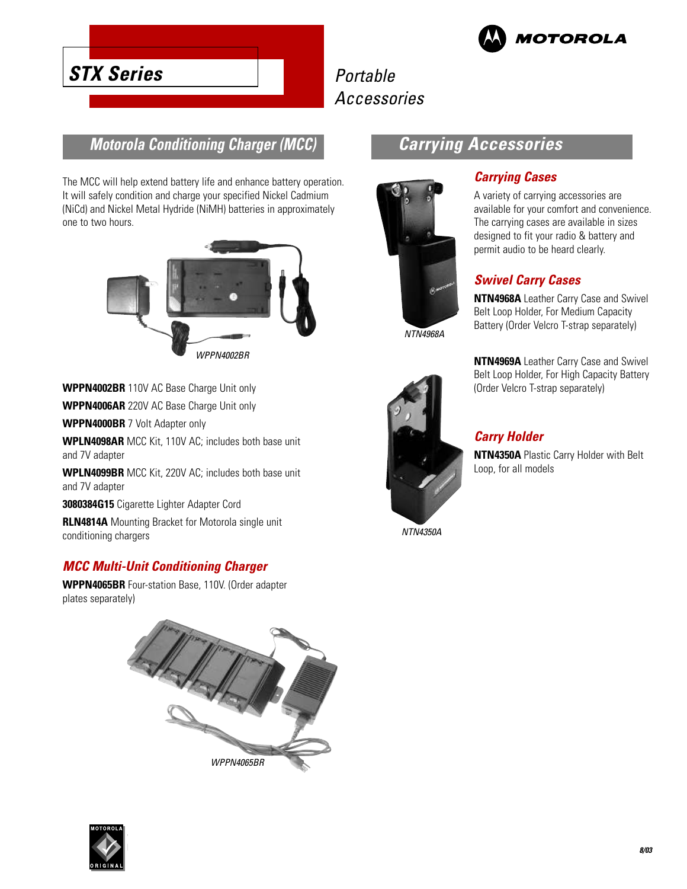

# Portable Accessories

### **Motorola Conditioning Charger (MCC)**

**STX Series**

The MCC will help extend battery life and enhance battery operation. It will safely condition and charge your specified Nickel Cadmium (NiCd) and Nickel Metal Hydride (NiMH) batteries in approximately one to two hours.



# **Carrying Accessories**



NTN4968A



# **Carrying Cases**

A variety of carrying accessories are available for your comfort and convenience. The carrying cases are available in sizes designed to fit your radio & battery and permit audio to be heard clearly.

### **Swivel Carry Cases**

**NTN4968A** Leather Carry Case and Swivel Belt Loop Holder, For Medium Capacity Battery (Order Velcro T-strap separately)

**NTN4969A** Leather Carry Case and Swivel Belt Loop Holder, For High Capacity Battery (Order Velcro T-strap separately)

#### **Carry Holder**

**NTN4350A** Plastic Carry Holder with Belt Loop, for all models

**3080384G15** Cigarette Lighter Adapter Cord

**WPPN4000BR** 7 Volt Adapter only

and 7V adapter

and 7V adapter

**WPPN4002BR** 110V AC Base Charge Unit only **WPPN4006AR** 220V AC Base Charge Unit only

**RLN4814A** Mounting Bracket for Motorola single unit conditioning chargers

**WPLN4098AR** MCC Kit, 110V AC; includes both base unit

**WPLN4099BR** MCC Kit, 220V AC; includes both base unit

#### **MCC Multi-Unit Conditioning Charger**

**WPPN4065BR** Four-station Base, 110V. (Order adapter plates separately)



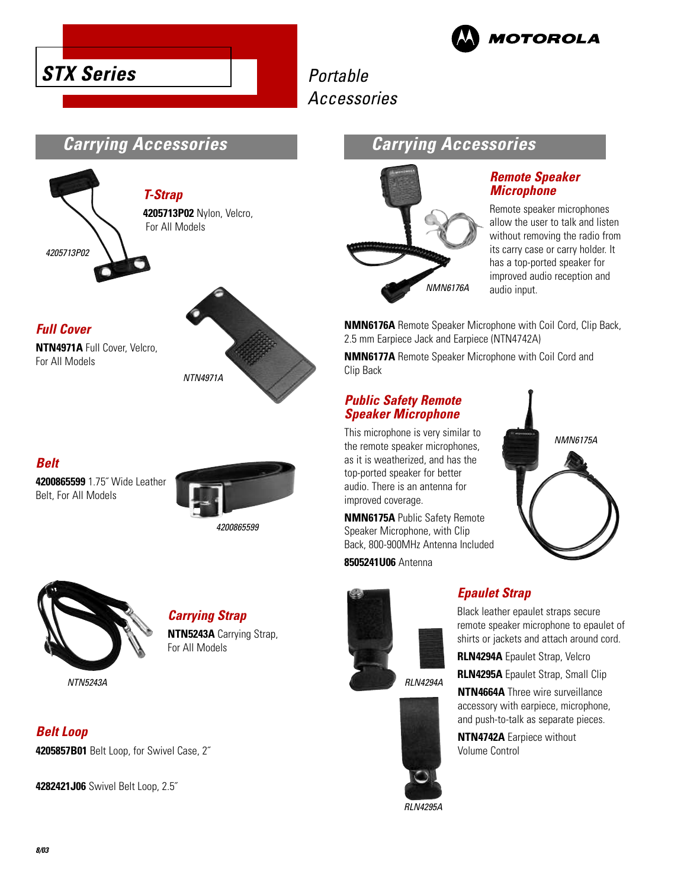



# Portable Accessories

### **Carrying Accessories**



### **Full Cover**

**NTN4971A** Full Cover, Velcro, For All Models



## **Belt**

**4200865599** 1.75˝ Wide Leather Belt, For All Models



**Carrying Strap NTN5243A** Carrying Strap,

For All Models



NTN5243A

**Belt Loop 4205857B01** Belt Loop, for Swivel Case, 2˝

**4282421J06** Swivel Belt Loop, 2.5˝

# **Carrying Accessories**



### **Remote Speaker Microphone**

Remote speaker microphones allow the user to talk and listen without removing the radio from its carry case or carry holder. It has a top-ported speaker for improved audio reception and audio input.

**NMN6176A** Remote Speaker Microphone with Coil Cord, Clip Back, 2.5 mm Earpiece Jack and Earpiece (NTN4742A)

**NMN6177A** Remote Speaker Microphone with Coil Cord and Clip Back

#### **Public Safety Remote Speaker Microphone**

This microphone is very similar to the remote speaker microphones, as it is weatherized, and has the top-ported speaker for better audio. There is an antenna for improved coverage.

**NMN6175A** Public Safety Remote Speaker Microphone, with Clip Back, 800-900MHz Antenna Included

**8505241U06** Antenna







NMN6175A

## **Epaulet Strap**

Black leather epaulet straps secure remote speaker microphone to epaulet of shirts or jackets and attach around cord.

**RLN4294A** Epaulet Strap, Velcro

**RLN4295A** Epaulet Strap, Small Clip

**NTN4664A** Three wire surveillance accessory with earpiece, microphone, and push-to-talk as separate pieces.

**NTN4742A** Earpiece without Volume Control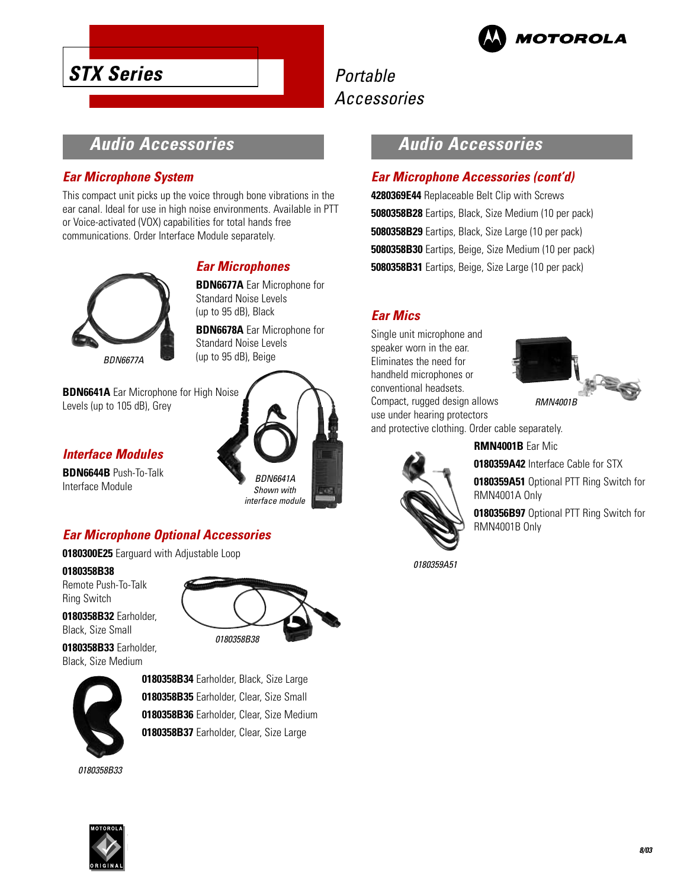

# **STX Series**

# Portable Accessories

## **Audio Accessories**

### **Ear Microphone System**

This compact unit picks up the voice through bone vibrations in the ear canal. Ideal for use in high noise environments. Available in PTT or Voice-activated (VOX) capabilities for total hands free communications. Order Interface Module separately.



#### (up to 95 dB), Black

**BDN6678A** Ear Microphone for Standard Noise Levels (up to 95 dB), Beige

**BDN6677A** Ear Microphone for

**Ear Microphones**

Standard Noise Levels

**BDN6641A** Ear Microphone for High Noise Levels (up to 105 dB), Grey

### **Interface Modules**

**BDN6644B** Push-To-Talk Interface Module



### **Ear Microphone Optional Accessories**

**0180300E25** Earguard with Adjustable Loop

**0180358B38**

Remote Push-To-Talk Ring Switch

**0180358B32** Earholder, Black, Size Small

**0180358B33** Earholder, Black, Size Medium



**0180358B34** Earholder, Black, Size Large **0180358B35** Earholder, Clear, Size Small **0180358B36** Earholder, Clear, Size Medium **0180358B37** Earholder, Clear, Size Large

0180358B33



### **Audio Accessories**

### **Ear Microphone Accessories (cont'd)**

**4280369E44** Replaceable Belt Clip with Screws **5080358B28** Eartips, Black, Size Medium (10 per pack) **5080358B29** Eartips, Black, Size Large (10 per pack) **5080358B30** Eartips, Beige, Size Medium (10 per pack) **5080358B31** Eartips, Beige, Size Large (10 per pack)

### **Ear Mics**

Single unit microphone and speaker worn in the ear. Eliminates the need for handheld microphones or conventional headsets. Compact, rugged design allows use under hearing protectors



and protective clothing. Order cable separately.



**RMN4001B** Ear Mic

**0180359A42** Interface Cable for STX

**0180359A51** Optional PTT Ring Switch for RMN4001A Only

**0180356B97** Optional PTT Ring Switch for RMN4001B Only

0180359A51

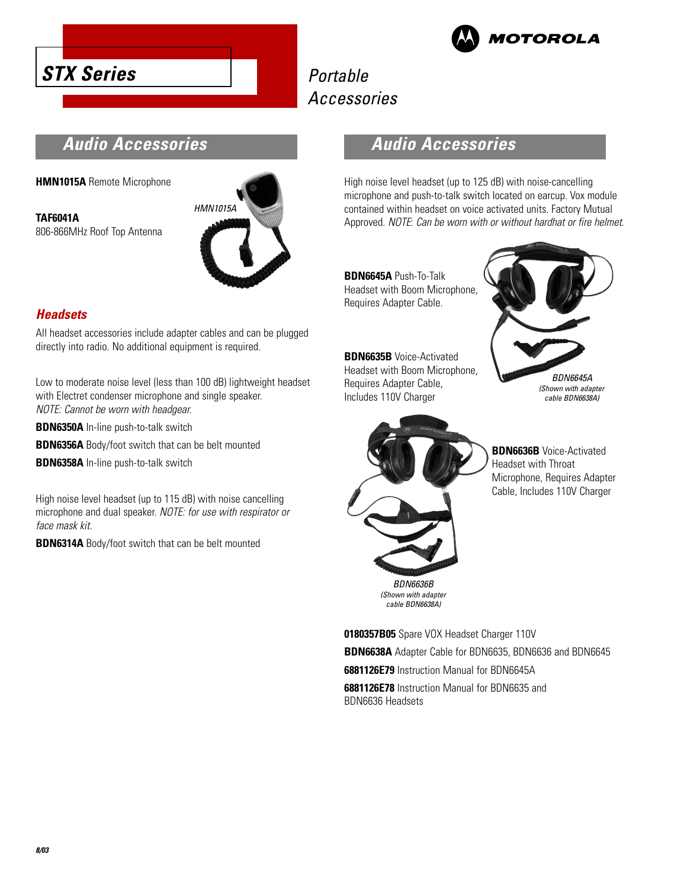



# Portable Accessories

### **Audio Accessories**

**HMN1015A** Remote Microphone

**TAF6041A** 806-866MHz Roof Top Antenna



### **Headsets**

All headset accessories include adapter cables and can be plugged directly into radio. No additional equipment is required.

Low to moderate noise level (less than 100 dB) lightweight headset with Electret condenser microphone and single speaker. NOTE: Cannot be worn with headgear.

**BDN6350A** In-line push-to-talk switch

**BDN6356A** Body/foot switch that can be belt mounted

**BDN6358A** In-line push-to-talk switch

High noise level headset (up to 115 dB) with noise cancelling microphone and dual speaker. NOTE: for use with respirator or face mask kit.

**BDN6314A** Body/foot switch that can be belt mounted

### **Audio Accessories**

High noise level headset (up to 125 dB) with noise-cancelling microphone and push-to-talk switch located on earcup. Vox module contained within headset on voice activated units. Factory Mutual Approved. NOTE: Can be worn with or without hardhat or fire helmet.

**BDN6645A** Push-To-Talk Headset with Boom Microphone, Requires Adapter Cable.

**BDN6635B** Voice-Activated Headset with Boom Microphone, Requires Adapter Cable, Includes 110V Charger





**BDN6636B** Voice-Activated Headset with Throat Microphone, Requires Adapter Cable, Includes 110V Charger

cable BDN6638A)

**0180357B05** Spare VOX Headset Charger 110V **BDN6638A** Adapter Cable for BDN6635, BDN6636 and BDN6645 **6881126E79** Instruction Manual for BDN6645A **6881126E78** Instruction Manual for BDN6635 and BDN6636 Headsets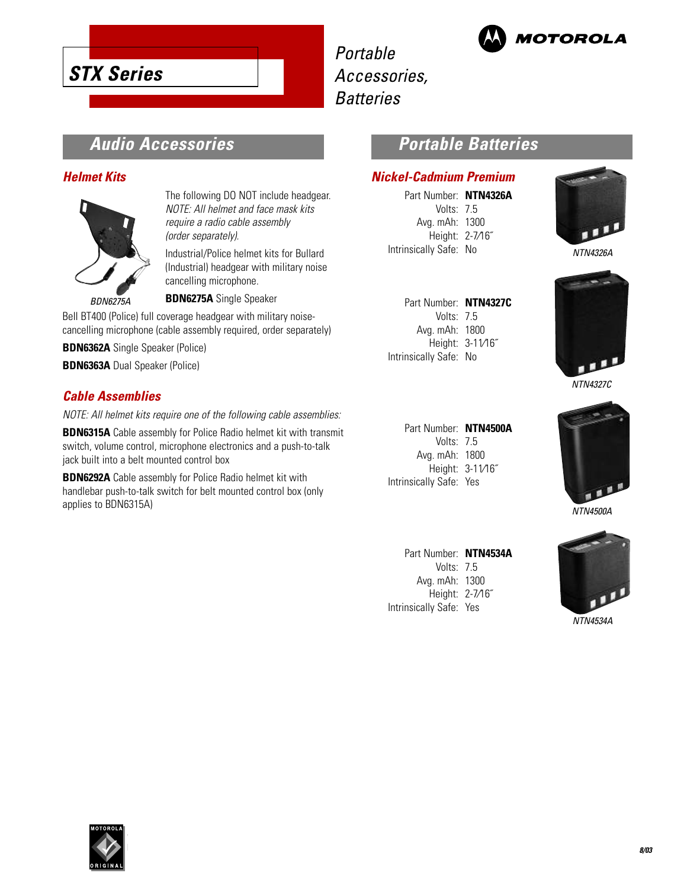





**Batteries** 

# **Audio Accessories**

#### **Helmet Kits**



The following DO NOT include headgear. NOTE: All helmet and face mask kits require a radio cable assembly (order separately).

Industrial/Police helmet kits for Bullard (Industrial) headgear with military noise cancelling microphone.

**BDN6275A** Single Speaker

Bell BT400 (Police) full coverage headgear with military noisecancelling microphone (cable assembly required, order separately)

**BDN6362A** Single Speaker (Police)

**BDN6363A** Dual Speaker (Police)

### **Cable Assemblies**

NOTE: All helmet kits require one of the following cable assemblies:

**BDN6315A** Cable assembly for Police Radio helmet kit with transmit switch, volume control, microphone electronics and a push-to-talk jack built into a belt mounted control box

**BDN6292A** Cable assembly for Police Radio helmet kit with handlebar push-to-talk switch for belt mounted control box (only applies to BDN6315A)

### **Portable Batteries**

#### **Nickel-Cadmium Premium**

Part Number: **NTN4326A** Volts: 7.5 Avg. mAh: 1300 Height: 2-7⁄16˝ Intrinsically Safe: No



NTN4326A

| Part Number: NTN4327C  |                  |
|------------------------|------------------|
| Volts: 7.5             |                  |
| Avg. mAh: 1800         |                  |
|                        | Height: 3-11/16" |
| Intrinsically Safe: No |                  |
|                        |                  |



NTN4327C

Part Number: **NTN4500A** Volts: 7.5 Avg. mAh: 1800 Height: 3-11⁄16˝ Intrinsically Safe: Yes

Part Number: **NTN4534A** Volts: 7.5 Avg. mAh: 1300 Height: 2-7⁄16˝ Intrinsically Safe: Yes





NTN4534A

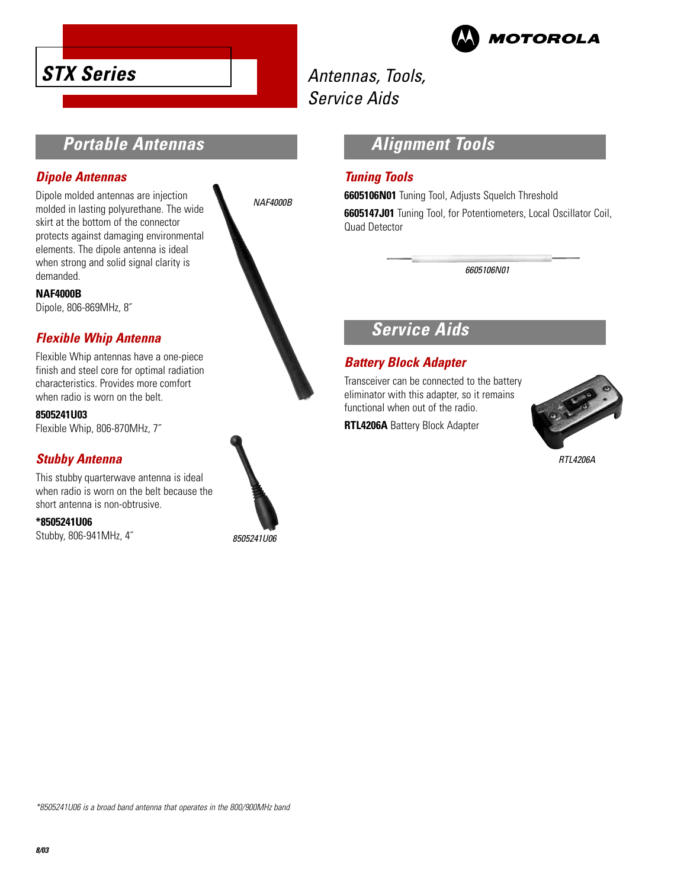



# Antennas, Tools, Service Aids

# **Portable Antennas**

#### **Dipole Antennas**

Dipole molded antennas are injection molded in lasting polyurethane. The wide skirt at the bottom of the connector protects against damaging environmental elements. The dipole antenna is ideal when strong and solid signal clarity is demanded.

#### **NAF4000B**

Dipole, 806-869MHz, 8˝

### **Flexible Whip Antenna**

Flexible Whip antennas have a one-piece finish and steel core for optimal radiation characteristics. Provides more comfort when radio is worn on the belt.

**8505241U03**

Flexible Whip, 806-870MHz, 7˝

### **Stubby Antenna**

This stubby quarterwave antenna is ideal when radio is worn on the belt because the short antenna is non-obtrusive.

**\*8505241U06**

Stubby, 806-941MHz, 4˝



8505241U06

### **Alignment Tools**

#### **Tuning Tools**

**6605106N01** Tuning Tool, Adjusts Squelch Threshold **6605147J01** Tuning Tool, for Potentiometers, Local Oscillator Coil, Quad Detector

6605106N01

# **Service Aids**

### **Battery Block Adapter**

Transceiver can be connected to the battery eliminator with this adapter, so it remains functional when out of the radio.

**RTL4206A** Battery Block Adapter



RTL4206A